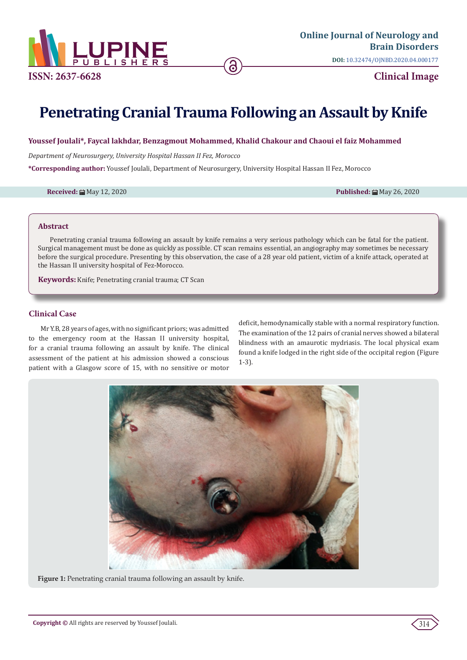

# **Penetrating Cranial Trauma Following an Assault by Knife**

#### **Youssef Joulali\*, Faycal lakhdar, Benzagmout Mohammed, Khalid Chakour and Chaoui el faiz Mohammed**

*Department of Neurosurgery, University Hospital Hassan II Fez, Morocco*

**\*Corresponding author:** Youssef Joulali, Department of Neurosurgery, University Hospital Hassan II Fez, Morocco

**Received:** ■ May 12, 2020 **Published:** ■ May 26, 2020 **Published:** ■ May 26, 2020

#### **Abstract**

Penetrating cranial trauma following an assault by knife remains a very serious pathology which can be fatal for the patient. Surgical management must be done as quickly as possible. CT scan remains essential, an angiography may sometimes be necessary before the surgical procedure. Presenting by this observation, the case of a 28 year old patient, victim of a knife attack, operated at the Hassan II university hospital of Fez-Morocco.

**Keywords:** Knife; Penetrating cranial trauma; CT Scan

#### **Clinical Case**

Mr Y.B, 28 years of ages, with no significant priors; was admitted to the emergency room at the Hassan II university hospital, for a cranial trauma following an assault by knife. The clinical assessment of the patient at his admission showed a conscious patient with a Glasgow score of 15, with no sensitive or motor

deficit, hemodynamically stable with a normal respiratory function. The examination of the 12 pairs of cranial nerves showed a bilateral blindness with an amaurotic mydriasis. The local physical exam found a knife lodged in the right side of the occipital region (Figure 1-3).



**Figure 1:** Penetrating cranial trauma following an assault by knife.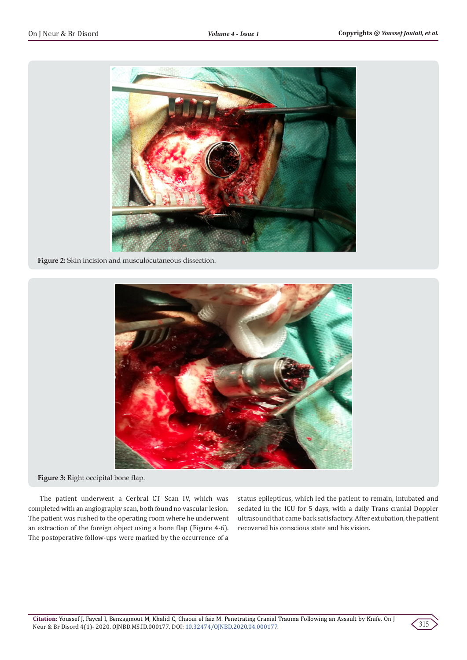

**Figure 2:** Skin incision and musculocutaneous dissection.



**Figure 3:** Right occipital bone flap.

The patient underwent a Cerbral CT Scan IV, which was completed with an angiography scan, both found no vascular lesion. The patient was rushed to the operating room where he underwent an extraction of the foreign object using a bone flap (Figure 4-6). The postoperative follow-ups were marked by the occurrence of a

status epilepticus, which led the patient to remain, intubated and sedated in the ICU for 5 days, with a daily Trans cranial Doppler ultrasound that came back satisfactory. After extubation, the patient recovered his conscious state and his vision.

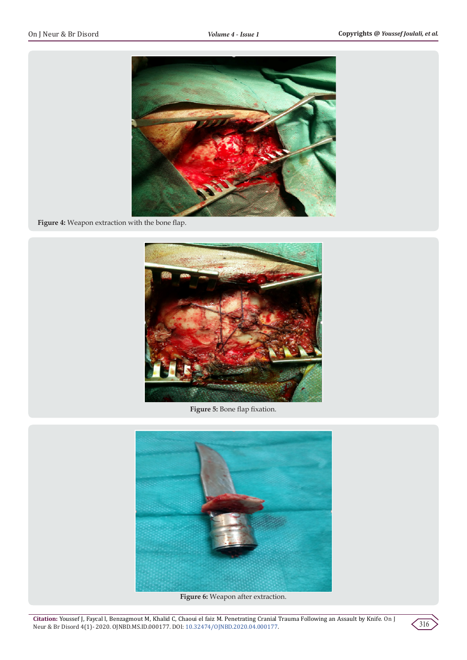

**Figure 4:** Weapon extraction with the bone flap.



**Figure 5:** Bone flap fixation.



**Figure 6:** Weapon after extraction.

**Citation:** Youssef J, Faycal l, Benzagmout M, Khalid C, Chaoui el faiz M. Penetrating Cranial Trauma Following an Assault by Knife. On J Neur & Br Disord 4(1)- 2020. OJNBD.MS.ID.000177. DOI: 10.32474/OJNBD.2020.04.000177.